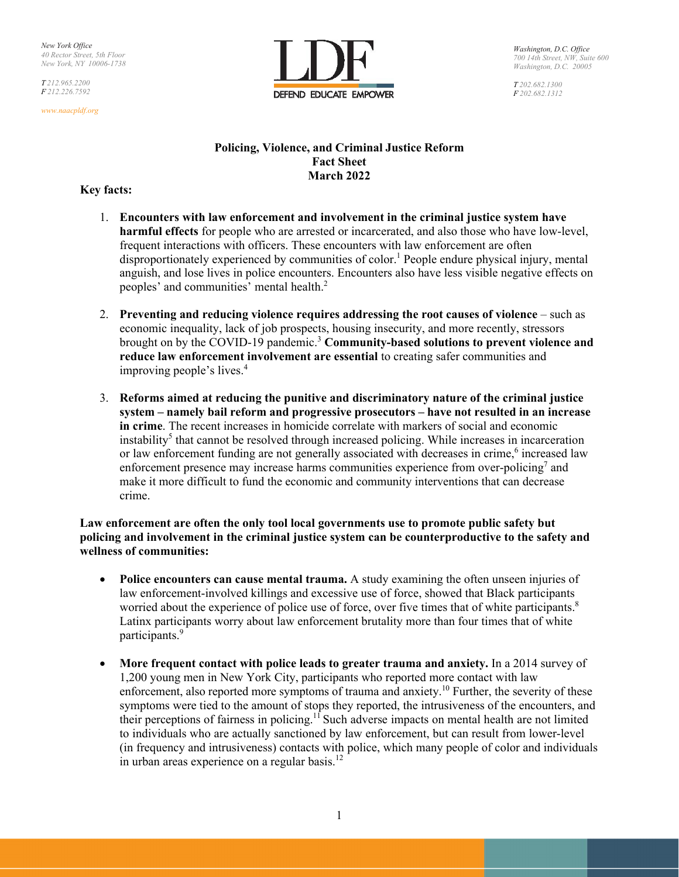*T 212.965.2200 F 212.226.7592*

*www.naacpldf.org*



*Washington, D.C. Office 700 14th Street, NW, Suite 600 Washington, D.C. 20005*

*T 202.682.1300 F 202.682.1312*

## **Policing, Violence, and Criminal Justice Reform Fact Sheet March 2022**

## **Key facts:**

- 1. **Encounters with law enforcement and involvement in the criminal justice system have harmful effects** for people who are arrested or incarcerated, and also those who have low-level, frequent interactions with officers. These encounters with law enforcement are often disproportionately experienced by communities of color.<sup>1</sup> People endure physical injury, mental anguish, and lose lives in police encounters. Encounters also have less visible negative effects on peoples' and communities' mental health.2
- 2. **Preventing and reducing violence requires addressing the root causes of violence**  such as economic inequality, lack of job prospects, housing insecurity, and more recently, stressors brought on by the COVID-19 pandemic.<sup>3</sup> **Community-based solutions to prevent violence and reduce law enforcement involvement are essential** to creating safer communities and improving people's lives.<sup>4</sup>
- 3. **Reforms aimed at reducing the punitive and discriminatory nature of the criminal justice system – namely bail reform and progressive prosecutors – have not resulted in an increase in crime**. The recent increases in homicide correlate with markers of social and economic instability<sup>5</sup> that cannot be resolved through increased policing. While increases in incarceration or law enforcement funding are not generally associated with decreases in crime,<sup>6</sup> increased law enforcement presence may increase harms communities experience from over-policing<sup>7</sup> and make it more difficult to fund the economic and community interventions that can decrease crime.

**Law enforcement are often the only tool local governments use to promote public safety but policing and involvement in the criminal justice system can be counterproductive to the safety and wellness of communities:** 

- Police encounters can cause mental trauma. A study examining the often unseen injuries of law enforcement-involved killings and excessive use of force, showed that Black participants worried about the experience of police use of force, over five times that of white participants.<sup>8</sup> Latinx participants worry about law enforcement brutality more than four times that of white participants.<sup>9</sup>
- **More frequent contact with police leads to greater trauma and anxiety.** In a 2014 survey of 1,200 young men in New York City, participants who reported more contact with law enforcement, also reported more symptoms of trauma and anxiety.10 Further, the severity of these symptoms were tied to the amount of stops they reported, the intrusiveness of the encounters, and their perceptions of fairness in policing.<sup>11</sup> Such adverse impacts on mental health are not limited to individuals who are actually sanctioned by law enforcement, but can result from lower-level (in frequency and intrusiveness) contacts with police, which many people of color and individuals in urban areas experience on a regular basis.<sup>12</sup>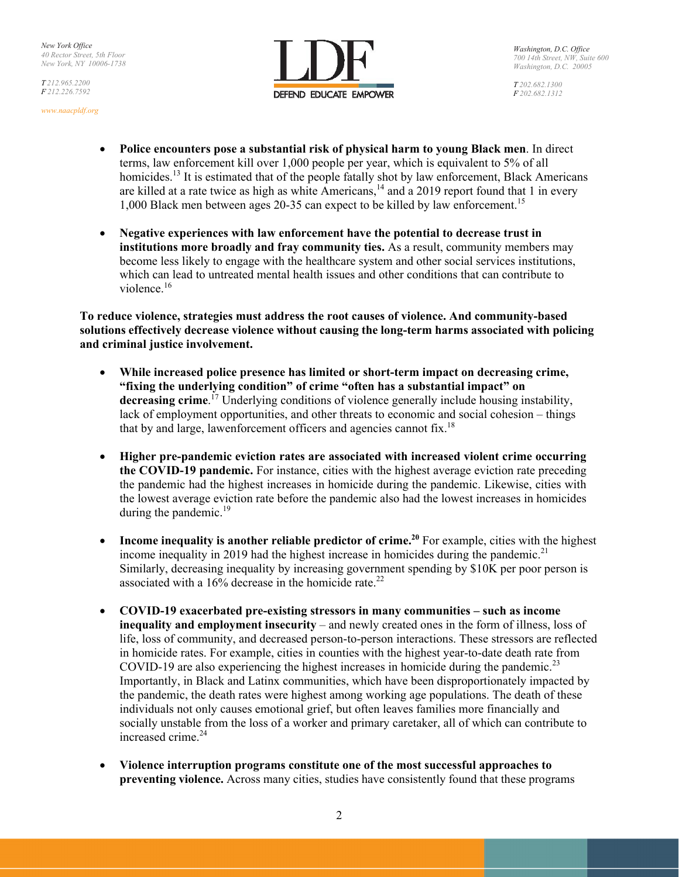*T 212.965.2200 F 212.226.7592*





*T 202.682.1300 F 202.682.1312*

- **Police encounters pose a substantial risk of physical harm to young Black men**. In direct terms, law enforcement kill over 1,000 people per year, which is equivalent to 5% of all homicides.<sup>13</sup> It is estimated that of the people fatally shot by law enforcement, Black Americans are killed at a rate twice as high as white Americans,<sup>14</sup> and a 2019 report found that 1 in every 1,000 Black men between ages 20-35 can expect to be killed by law enforcement.<sup>15</sup>
- **Negative experiences with law enforcement have the potential to decrease trust in institutions more broadly and fray community ties.** As a result, community members may become less likely to engage with the healthcare system and other social services institutions, which can lead to untreated mental health issues and other conditions that can contribute to violence.<sup>16</sup>

**To reduce violence, strategies must address the root causes of violence. And community-based solutions effectively decrease violence without causing the long-term harms associated with policing and criminal justice involvement.** 

- **While increased police presence has limited or short-term impact on decreasing crime, "fixing the underlying condition" of crime "often has a substantial impact" on decreasing crime**. 17 Underlying conditions of violence generally include housing instability, lack of employment opportunities, and other threats to economic and social cohesion – things that by and large, law enforcement officers and agencies cannot fix.<sup>18</sup>
- **Higher pre-pandemic eviction rates are associated with increased violent crime occurring the COVID-19 pandemic.** For instance, cities with the highest average eviction rate preceding the pandemic had the highest increases in homicide during the pandemic. Likewise, cities with the lowest average eviction rate before the pandemic also had the lowest increases in homicides during the pandemic. $^{19}$
- **Income inequality is another reliable predictor of crime.<sup>20</sup> For example, cities with the highest** income inequality in 2019 had the highest increase in homicides during the pandemic.<sup>21</sup> Similarly, decreasing inequality by increasing government spending by \$10K per poor person is associated with a  $16\%$  decrease in the homicide rate.<sup>22</sup>
- **COVID-19 exacerbated pre-existing stressors in many communities such as income inequality and employment insecurity** – and newly created ones in the form of illness, loss of life, loss of community, and decreased person-to-person interactions. These stressors are reflected in homicide rates. For example, cities in counties with the highest year-to-date death rate from COVID-19 are also experiencing the highest increases in homicide during the pandemic.<sup>23</sup> Importantly, in Black and Latinx communities, which have been disproportionately impacted by the pandemic, the death rates were highest among working age populations. The death of these individuals not only causes emotional grief, but often leaves families more financially and socially unstable from the loss of a worker and primary caretaker, all of which can contribute to increased crime.<sup>24</sup>
- **Violence interruption programs constitute one of the most successful approaches to preventing violence.** Across many cities, studies have consistently found that these programs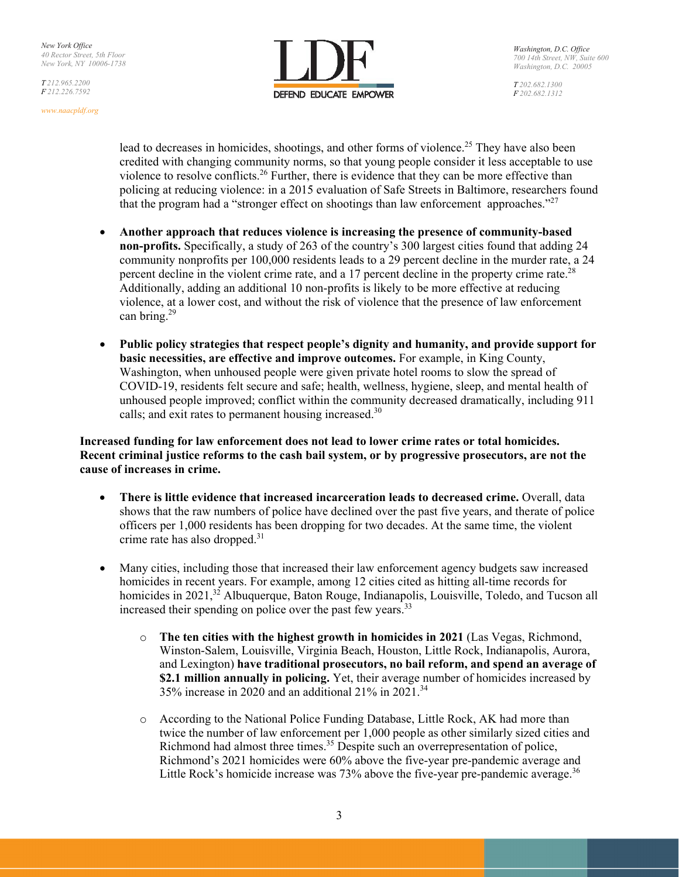*T 212.965.2200 F 212.226.7592*





*T 202.682.1300 F 202.682.1312*

lead to decreases in homicides, shootings, and other forms of violence.<sup>25</sup> They have also been credited with changing community norms, so that young people consider it less acceptable to use violence to resolve conflicts.<sup>26</sup> Further, there is evidence that they can be more effective than policing at reducing violence: in a 2015 evaluation of Safe Streets in Baltimore, researchers found that the program had a "stronger effect on shootings than law enforcement approaches."<sup>27</sup>

- **Another approach that reduces violence is increasing the presence of community-based non-profits.** Specifically, a study of 263 of the country's 300 largest cities found that adding 24 community nonprofits per 100,000 residents leads to a 29 percent decline in the murder rate, a 24 percent decline in the violent crime rate, and a 17 percent decline in the property crime rate.<sup>28</sup> Additionally, adding an additional 10 non-profits is likely to be more effective at reducing violence, at a lower cost, and without the risk of violence that the presence of law enforcement can bring.29
- **Public policy strategies that respect people's dignity and humanity, and provide support for basic necessities, are effective and improve outcomes.** For example, in King County, Washington, when unhoused people were given private hotel rooms to slow the spread of COVID-19, residents felt secure and safe; health, wellness, hygiene, sleep, and mental health of unhoused people improved; conflict within the community decreased dramatically, including 911 calls; and exit rates to permanent housing increased.<sup>30</sup>

**Increased funding for law enforcement does not lead to lower crime rates or total homicides. Recent criminal justice reforms to the cash bail system, or by progressive prosecutors, are not the cause of increases in crime.** 

- **•** There is little evidence that increased incarceration leads to decreased crime. Overall, data shows that the raw numbers of police have declined over the past five years, and therate of police officers per 1,000 residents has been dropping for two decades. At the same time, the violent crime rate has also dropped. $31$
- Many cities, including those that increased their law enforcement agency budgets saw increased homicides in recent years. For example, among 12 cities cited as hitting all-time records for homicides in  $2021$ ,<sup>32</sup> Albuquerque, Baton Rouge, Indianapolis, Louisville, Toledo, and Tucson all increased their spending on police over the past few years.<sup>33</sup>
	- o **The ten cities with the highest growth in homicides in 2021** (Las Vegas, Richmond, Winston-Salem, Louisville, Virginia Beach, Houston, Little Rock, Indianapolis, Aurora, and Lexington) **have traditional prosecutors, no bail reform, and spend an average of \$2.1 million annually in policing.** Yet, their average number of homicides increased by 35% increase in 2020 and an additional  $21\%$  in 2021.<sup>34</sup>
	- o According to the National Police Funding Database, Little Rock, AK had more than twice the number of law enforcement per 1,000 people as other similarly sized cities and Richmond had almost three times.<sup>35</sup> Despite such an overrepresentation of police, Richmond's 2021 homicides were 60% above the five-year pre-pandemic average and Little Rock's homicide increase was 73% above the five-year pre-pandemic average.<sup>36</sup>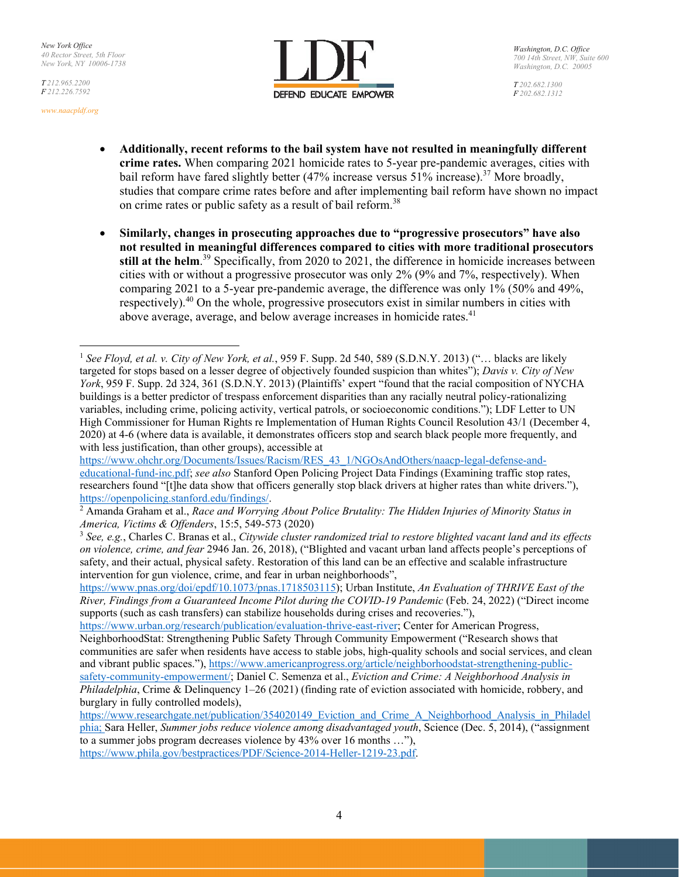*T 212.965.2200 F 212.226.7592*

*www.naacpldf.org*



*T 202.682.1300 F 202.682.1312*

- **Additionally, recent reforms to the bail system have not resulted in meaningfully different crime rates.** When comparing 2021 homicide rates to 5-year pre-pandemic averages, cities with bail reform have fared slightly better (47% increase versus 51% increase).<sup>37</sup> More broadly, studies that compare crime rates before and after implementing bail reform have shown no impact on crime rates or public safety as a result of bail reform.<sup>38</sup>
- **Similarly, changes in prosecuting approaches due to "progressive prosecutors" have also not resulted in meaningful differences compared to cities with more traditional prosecutors**  still at the helm.<sup>39</sup> Specifically, from 2020 to 2021, the difference in homicide increases between cities with or without a progressive prosecutor was only 2% (9% and 7%, respectively). When comparing 2021 to a 5-year pre-pandemic average, the difference was only 1% (50% and 49%, respectively).<sup>40</sup> On the whole, progressive prosecutors exist in similar numbers in cities with above average, average, and below average increases in homicide rates.<sup>41</sup>

https://www.ohchr.org/Documents/Issues/Racism/RES\_43\_1/NGOsAndOthers/naacp-legal-defense-andeducational-fund-inc.pdf; *see also* Stanford Open Policing Project Data Findings (Examining traffic stop rates, researchers found "[t]he data show that officers generally stop black drivers at higher rates than white drivers."), https://openpolicing.stanford.edu/findings/. 2

burglary in fully controlled models),

<sup>1</sup> *See Floyd, et al. v. City of New York, et al.*, 959 F. Supp. 2d 540, 589 (S.D.N.Y. 2013) ("… blacks are likely targeted for stops based on a lesser degree of objectively founded suspicion than whites"); *Davis v. City of New York*, 959 F. Supp. 2d 324, 361 (S.D.N.Y. 2013) (Plaintiffs' expert "found that the racial composition of NYCHA buildings is a better predictor of trespass enforcement disparities than any racially neutral policy-rationalizing variables, including crime, policing activity, vertical patrols, or socioeconomic conditions."); LDF Letter to UN High Commissioner for Human Rights re Implementation of Human Rights Council Resolution 43/1 (December 4, 2020) at 4-6 (where data is available, it demonstrates officers stop and search black people more frequently, and with less justification, than other groups), accessible at

Amanda Graham et al., *Race and Worrying About Police Brutality: The Hidden Injuries of Minority Status in America, Victims & Offenders*, 15:5, 549-573 (2020)<br><sup>3</sup> *See, e.g.*, Charles C. Branas et al., *Citywide cluster randomized trial to restore blighted vacant land and its effects* 

*on violence, crime, and fear* 2946 Jan. 26, 2018), ("Blighted and vacant urban land affects people's perceptions of safety, and their actual, physical safety. Restoration of this land can be an effective and scalable infrastructure intervention for gun violence, crime, and fear in urban neighborhoods",

https://www.pnas.org/doi/epdf/10.1073/pnas.1718503115); Urban Institute, *An Evaluation of THRIVE East of the River, Findings from a Guaranteed Income Pilot during the COVID-19 Pandemic (Feb. 24, 2022) ("Direct income* supports (such as cash transfers) can stabilize households during crises and recoveries."),

https://www.urban.org/research/publication/evaluation-thrive-east-river; Center for American Progress, NeighborhoodStat: Strengthening Public Safety Through Community Empowerment ("Research shows that communities are safer when residents have access to stable jobs, high-quality schools and social services, and clean and vibrant public spaces."), https://www.americanprogress.org/article/neighborhoodstat-strengthening-publicsafety-community-empowerment/; Daniel C. Semenza et al., *Eviction and Crime: A Neighborhood Analysis in Philadelphia*, Crime & Delinquency 1–26 (2021) (finding rate of eviction associated with homicide, robbery, and

https://www.researchgate.net/publication/354020149\_Eviction\_and\_Crime\_A\_Neighborhood\_Analysis\_in\_Philadel phia; Sara Heller, *Summer jobs reduce violence among disadvantaged youth*, Science (Dec. 5, 2014), ("assignment to a summer jobs program decreases violence by 43% over 16 months …"), https://www.phila.gov/bestpractices/PDF/Science-2014-Heller-1219-23.pdf.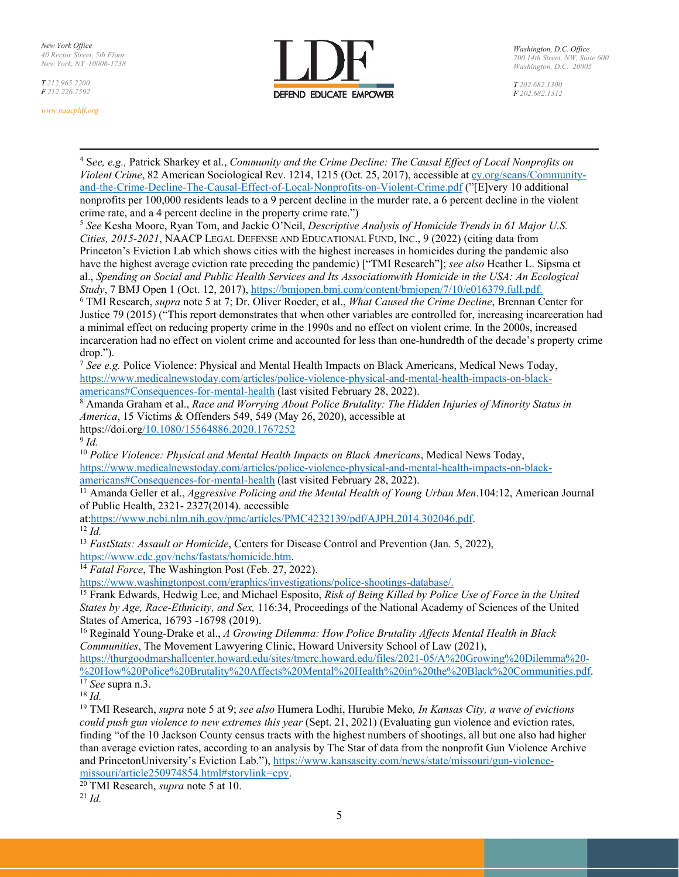*T 212.965.2200 F 212.226.7592*

*www.naacpldf.org*



*T 202.682.1300 F 202.682.1312*

4 S*ee, e.g.,* Patrick Sharkey et al., *Community and the Crime Decline: The Causal Effect of Local Nonprofits on Violent Crime*, 82 American Sociological Rev. 1214, 1215 (Oct. 25, 2017), accessible at cy.org/scans/Communityand-the-Crime-Decline-The-Causal-Effect-of-Local-Nonprofits-on-Violent-Crime.pdf ("[E]very 10 additional nonprofits per 100,000 residents leads to a 9 percent decline in the murder rate, a 6 percent decline in the violent crime rate, and a 4 percent decline in the property crime rate.")

<sup>5</sup> *See* Kesha Moore, Ryan Tom, and Jackie O'Neil, *Descriptive Analysis of Homicide Trends in 61 Major U.S. Cities, 2015-2021*, NAACP LEGAL DEFENSE AND EDUCATIONAL FUND, INC., 9 (2022) (citing data from Princeton's Eviction Lab which shows cities with the highest increases in homicides during the pandemic also have the highest average eviction rate preceding the pandemic) ["TMI Research"]; *see also* Heather L. Sipsma et al., *Spending on Social and Public Health Services and Its Association with Homicide in the USA: An Ecological Study*, 7 BMJ Open 1 (Oct. 12, 2017), https://bmjopen.bmj.com/content/bmjopen/7/10/e016379.full.pdf.

6 TMI Research, *supra* note 5 at 7; Dr. Oliver Roeder, et al., *What Caused the Crime Decline*, Brennan Center for Justice 79 (2015) ("This report demonstrates that when other variables are controlled for, increasing incarceration had a minimal effect on reducing property crime in the 1990s and no effect on violent crime. In the 2000s, increased incarceration had no effect on violent crime and accounted for less than one-hundredth of the decade's property crime drop.").

<sup>7</sup> *See e.g.* Police Violence: Physical and Mental Health Impacts on Black Americans, Medical News Today, https://www.medicalnewstoday.com/articles/police-violence-physical-and-mental-health-impacts-on-black-

americans#Consequences-for-mental-health (last visited February 28, 2022).<br><sup>8</sup> Amanda Graham et al., *Race and Worrying About Police Brutality: The Hidden Injuries of Minority Status in America*, 15 Victims & Offenders 549, 549 (May 26, 2020), accessible at https://doi.org/10.1080/15564886.2020.1767252

 $9$  *Id.* 

<sup>10</sup> *Police Violence: Physical and Mental Health Impacts on Black Americans*, Medical News Today, https://www.medicalnewstoday.com/articles/police-violence-physical-and-mental-health-impacts-on-black-

americans#Consequences-for-mental-health (last visited February 28, 2022). 11 Amanda Geller et al., *Aggressive Policing and the Mental Health of Young Urban Men*.104:12, American Journal of Public Health, 2321- 2327(2014). accessible

at:https://www.ncbi.nlm.nih.gov/pmc/articles/PMC4232139/pdf/AJPH.2014.302046.pdf. 12 *Id.* 

<sup>13</sup> *FastStats: Assault or Homicide*, Centers for Disease Control and Prevention (Jan. 5, 2022), https://www.cdc.gov/nchs/fastats/homicide.htm. 14 *Fatal Force*, The Washington Post (Feb. 27, 2022).

https://www.washingtonpost.com/graphics/investigations/police-shootings-database/.

15 Frank Edwards, Hedwig Lee, and Michael Esposito, *Risk of Being Killed by Police Use of Force in the United States by Age, Race-Ethnicity, and Sex,* 116:34, Proceedings of the National Academy of Sciences of the United States of America, 16793 -16798 (2019).

16 Reginald Young-Drake et al., *A Growing Dilemma: How Police Brutality Affects Mental Health in Black Communities*, The Movement Lawyering Clinic, Howard University School of Law (2021),

https://thurgoodmarshallcenter.howard.edu/sites/tmcrc.howard.edu/files/2021-05/A%20Growing%20Dilemma%20- %20How%20Police%20Brutality%20Affects%20Mental%20Health%20in%20the%20Black%20Communities.pdf.<br>
<sup>17</sup> *See* supra n.3.<br>
<sup>18</sup> *Id.* 

19 TMI Research, *supra* note 5 at 9; *see also* Humera Lodhi, Hurubie Meko*, In Kansas City, a wave of evictions could push gun violence to new extremes this year* (Sept. 21, 2021) (Evaluating gun violence and eviction rates, finding "of the 10 Jackson County census tracts with the highest numbers of shootings, all but one also had higher than average eviction rates, according to an analysis by The Star of data from the nonprofit Gun Violence Archive and Princeton University's Eviction Lab."), https://www.kansascity.com/news/state/missouri/gun-violencemissouri/article250974854.html#storylink=cpy. 20 TMI Research, *supra* note 5 at 10. 21 *Id.*